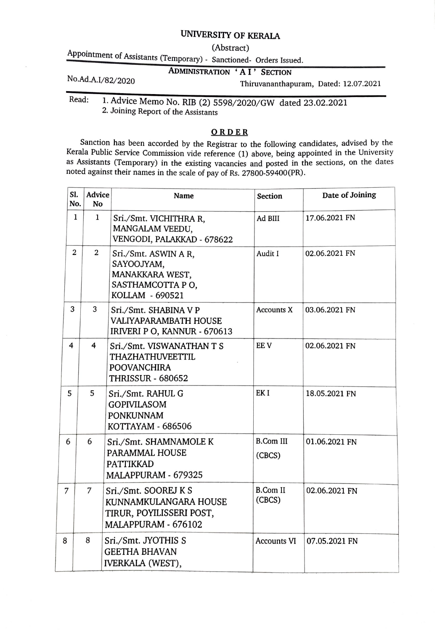## UNIVERSITY OF KERALA

(Abstract)<br>Appointment of Assistants (Temporary) - Sanctioned- Orders Issued.

## ADMINISTRATION 'AI' SECTION

No.Ad.A.I/82/2020 Thiruvananthapuram, Dated: 12.07.2021

Read: 1. Advice Memo No. RIB (2) 5598/2020/GW dated 23.02.2021 2. Joining Report of the Assistants

## ORDER

Sanction has been accorded by the Registrar to the following candidates, advised by the Kerala Public Service Commission vide reference (1) above, being appointed in the University as Assistants (Temporary) in the existing vacancies and posted in the sections, on the dates noted against their names in the scale of pay of Rs. 27800-59400(PR).

| SI.<br>No.     | Advice<br>No   | <b>Name</b>                                                                                            | <b>Section</b>             | Date of Joining |
|----------------|----------------|--------------------------------------------------------------------------------------------------------|----------------------------|-----------------|
| 1              | 1              | Sri./Smt. VICHITHRA R,<br>MANGALAM VEEDU,<br>VENGODI, PALAKKAD - 678622                                | Ad BIII                    | 17.06.2021 FN   |
| $\overline{2}$ | $\overline{2}$ | Sri./Smt. ASWIN A R,<br>SAYOOJYAM,<br>MANAKKARA WEST,<br>SASTHAMCOTTA PO,<br>KOLLAM - 690521           | Audit I                    | 02.06.2021 FN   |
| 3              | 3              | Sri./Smt. SHABINA V P<br>VALIYAPARAMBATH HOUSE<br>IRIVERI P O, KANNUR - 670613                         | <b>Accounts X</b>          | 03.06.2021 FN   |
| 4              | 4              | Sri./Smt. VISWANATHAN T S<br><b>THAZHATHUVEETTIL</b><br><b>POOVANCHIRA</b><br><b>THRISSUR - 680652</b> | EE V                       | 02.06.2021 FN   |
| 5              | 5              | Sri./Smt. RAHUL G<br><b>GOPIVILASOM</b><br><b>PONKUNNAM</b><br>KOTTAYAM - 686506                       | EK <sub>I</sub>            | 18.05.2021 FN   |
| 6              | 6              | Sri./Smt. SHAMNAMOLE K<br>PARAMMAL HOUSE<br><b>PATTIKKAD</b><br>MALAPPURAM - 679325                    | <b>B.Com III</b><br>(CBCS) | 01.06.2021 FN   |
| 7              | 7              | Sri./Smt. SOOREJ K S<br>KUNNAMKULANGARA HOUSE<br>TIRUR, POYILISSERI POST,<br>MALAPPURAM - 676102       | <b>B.Com II</b><br>(CBCS)  | 02.06.2021 FN   |
| 8              | 8              | Sri./Smt. JYOTHIS S<br><b>GEETHA BHAVAN</b><br><b>IVERKALA (WEST),</b>                                 | <b>Accounts VI</b>         | 07.05.2021 FN   |